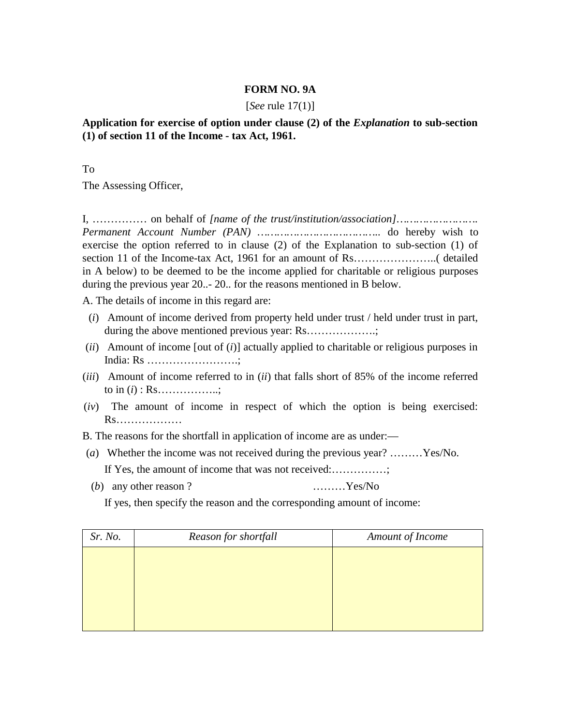## **FORM NO. 9A**

## [*See* rule 17(1)]

## **Application for exercise of option under clause (2) of the** *Explanation* **to sub-section (1) of section 11 of the Income - tax Act, 1961.**

To

The Assessing Officer,

I, …………… on behalf of *[name of the trust/institution/association]……………………. Permanent Account Number (PAN) ………………………………..* do hereby wish to exercise the option referred to in clause (2) of the Explanation to sub-section (1) of section 11 of the Income-tax Act, 1961 for an amount of Rs…………………..( detailed in A below) to be deemed to be the income applied for charitable or religious purposes during the previous year 20..- 20.. for the reasons mentioned in B below.

A. The details of income in this regard are:

- (*i*) Amount of income derived from property held under trust / held under trust in part, during the above mentioned previous year: Rs……………….;
- (*ii*) Amount of income [out of (*i*)] actually applied to charitable or religious purposes in India: Rs …………………….;
- (*iii*) Amount of income referred to in (*ii*) that falls short of 85% of the income referred to in (*i*) : Rs……………..;
- (*iv*) The amount of income in respect of which the option is being exercised: Rs………………

B. The reasons for the shortfall in application of income are as under:—

- (*a*) Whether the income was not received during the previous year? ………Yes/No. If Yes, the amount of income that was not received:................
- (*b*) any other reason ? ………Yes/No

If yes, then specify the reason and the corresponding amount of income:

| Sr. No. | Reason for shortfall | Amount of Income |
|---------|----------------------|------------------|
|         |                      |                  |
|         |                      |                  |
|         |                      |                  |
|         |                      |                  |
|         |                      |                  |